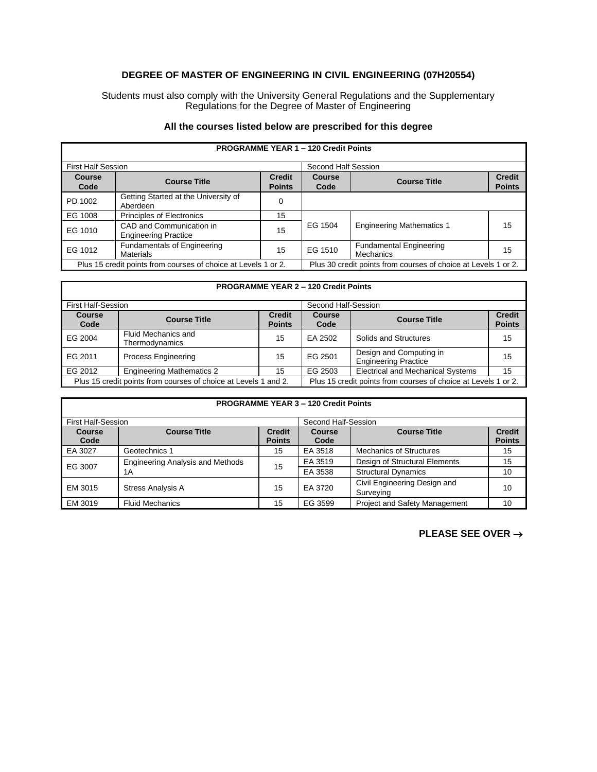## **DEGREE OF MASTER OF ENGINEERING IN CIVIL ENGINEERING (07H20554)**

Students must also comply with the University General Regulations and the Supplementary Regulations for the Degree of Master of Engineering

## **All the courses listed below are prescribed for this degree**

| <b>First Half Session</b>                                      |                                                         |                                | Second Half Session |                                                                |                                |
|----------------------------------------------------------------|---------------------------------------------------------|--------------------------------|---------------------|----------------------------------------------------------------|--------------------------------|
| <b>Course</b><br>Code                                          | <b>Course Title</b>                                     | <b>Credit</b><br><b>Points</b> | Course<br>Code      | <b>Course Title</b>                                            | <b>Credit</b><br><b>Points</b> |
| PD 1002                                                        | Getting Started at the University of<br>Aberdeen        | 0                              |                     |                                                                |                                |
| EG 1008                                                        | <b>Principles of Electronics</b>                        | 15                             |                     |                                                                |                                |
| EG 1010                                                        | CAD and Communication in<br><b>Engineering Practice</b> | 15                             | EG 1504             | <b>Engineering Mathematics 1</b>                               | 15                             |
| EG 1012                                                        | <b>Fundamentals of Engineering</b><br>Materials         | 15                             | EG 1510             | <b>Fundamental Engineering</b><br>Mechanics                    | 15                             |
| Plus 15 credit points from courses of choice at Levels 1 or 2. |                                                         |                                |                     | Plus 30 credit points from courses of choice at Levels 1 or 2. |                                |

## **PROGRAMME YEAR 1 – 120 Credit Points**

Г

| <b>PROGRAMME YEAR 2 - 120 Credit Points</b>                     |                                              |                                |                                                                |                                                        |                                |
|-----------------------------------------------------------------|----------------------------------------------|--------------------------------|----------------------------------------------------------------|--------------------------------------------------------|--------------------------------|
| <b>First Half-Session</b>                                       |                                              |                                | Second Half-Session                                            |                                                        |                                |
| <b>Course</b><br>Code                                           | <b>Course Title</b>                          | <b>Credit</b><br><b>Points</b> | <b>Course</b><br>Code                                          | <b>Course Title</b>                                    | <b>Credit</b><br><b>Points</b> |
| EG 2004                                                         | <b>Fluid Mechanics and</b><br>Thermodynamics | 15                             | EA 2502                                                        | Solids and Structures                                  | 15                             |
| EG 2011                                                         | <b>Process Engineering</b>                   | 15                             | EG 2501                                                        | Design and Computing in<br><b>Engineering Practice</b> | 15                             |
| EG 2012                                                         | <b>Engineering Mathematics 2</b>             | 15                             | EG 2503                                                        | <b>Electrical and Mechanical Systems</b>               | 15                             |
| Plus 15 credit points from courses of choice at Levels 1 and 2. |                                              |                                | Plus 15 credit points from courses of choice at Levels 1 or 2. |                                                        |                                |

| <b>PROGRAMME YEAR 3 - 120 Credit Points</b> |                                         |                                |                     |                                           |                                |
|---------------------------------------------|-----------------------------------------|--------------------------------|---------------------|-------------------------------------------|--------------------------------|
| <b>First Half-Session</b>                   |                                         |                                | Second Half-Session |                                           |                                |
| Course<br>Code                              | <b>Course Title</b>                     | <b>Credit</b><br><b>Points</b> | Course<br>Code      | <b>Course Title</b>                       | <b>Credit</b><br><b>Points</b> |
| EA 3027                                     | Geotechnics 1                           | 15                             | EA 3518             | <b>Mechanics of Structures</b>            | 15                             |
| EG 3007                                     | <b>Engineering Analysis and Methods</b> | 15                             | EA 3519             | Design of Structural Elements             | 15                             |
|                                             | 1 A                                     |                                | EA 3538             | <b>Structural Dynamics</b>                | 10                             |
| EM 3015                                     | <b>Stress Analysis A</b>                | 15                             | EA 3720             | Civil Engineering Design and<br>Surveying | 10                             |
| EM 3019                                     | <b>Fluid Mechanics</b>                  | 15                             | EG 3599             | <b>Project and Safety Management</b>      | 10                             |

**PLEASE SEE OVER** →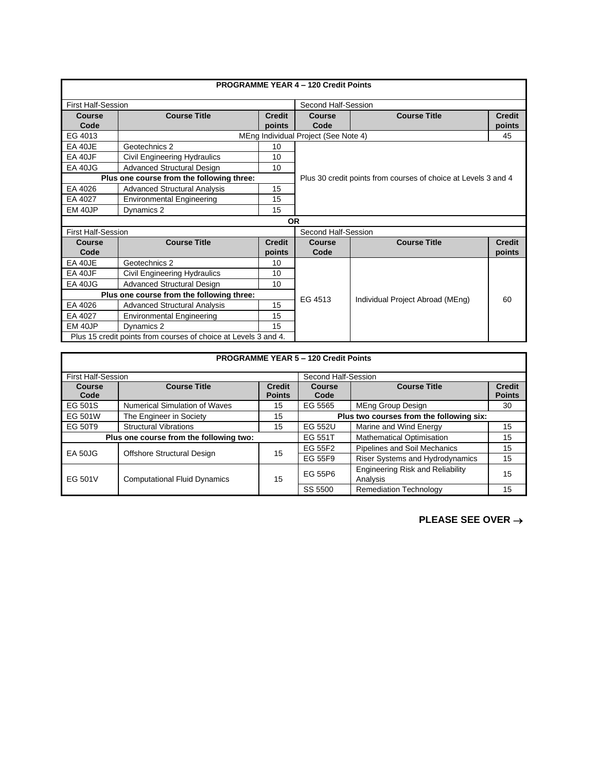| <b>PROGRAMME YEAR 4 - 120 Credit Points</b>                     |                                           |                     |                                      |                                                                |               |  |
|-----------------------------------------------------------------|-------------------------------------------|---------------------|--------------------------------------|----------------------------------------------------------------|---------------|--|
|                                                                 |                                           |                     |                                      |                                                                |               |  |
| <b>First Half-Session</b>                                       |                                           | Second Half-Session |                                      |                                                                |               |  |
| Course                                                          | <b>Course Title</b>                       | <b>Credit</b>       | Course                               | <b>Course Title</b>                                            | <b>Credit</b> |  |
| Code                                                            |                                           | points              | Code                                 |                                                                | points        |  |
| EG 4013                                                         |                                           |                     | MEng Individual Project (See Note 4) |                                                                | 45            |  |
| EA 40JE                                                         | Geotechnics 2                             | 10                  |                                      |                                                                |               |  |
| EA 40JF                                                         | <b>Civil Engineering Hydraulics</b>       | 10                  |                                      |                                                                |               |  |
| <b>EA 40JG</b>                                                  | <b>Advanced Structural Design</b>         | 10                  |                                      |                                                                |               |  |
|                                                                 | Plus one course from the following three: |                     |                                      | Plus 30 credit points from courses of choice at Levels 3 and 4 |               |  |
| EA 4026                                                         | <b>Advanced Structural Analysis</b>       | 15                  |                                      |                                                                |               |  |
| EA 4027                                                         | <b>Environmental Engineering</b>          | 15                  |                                      |                                                                |               |  |
| EM 40JP                                                         | Dynamics 2                                | 15                  |                                      |                                                                |               |  |
|                                                                 |                                           | <b>OR</b>           |                                      |                                                                |               |  |
|                                                                 | <b>First Half-Session</b>                 |                     |                                      | Second Half-Session                                            |               |  |
| Course                                                          | <b>Course Title</b>                       | <b>Credit</b>       | <b>Course</b>                        | <b>Course Title</b>                                            | <b>Credit</b> |  |
| Code                                                            |                                           | points              | Code                                 |                                                                | points        |  |
| EA 40JE                                                         | Geotechnics 2                             | 10                  |                                      |                                                                |               |  |
| EA 40JF                                                         | Civil Engineering Hydraulics              | 10                  |                                      |                                                                |               |  |
| <b>EA 40JG</b>                                                  | Advanced Structural Design                | 10                  |                                      |                                                                |               |  |
|                                                                 | Plus one course from the following three: |                     |                                      |                                                                | 60            |  |
| EA 4026                                                         | <b>Advanced Structural Analysis</b>       | 15                  | EG 4513                              | Individual Project Abroad (MEng)                               |               |  |
| EA 4027                                                         | <b>Environmental Engineering</b>          | 15                  |                                      |                                                                |               |  |
| EM 40JP                                                         | Dynamics 2                                | 15                  |                                      |                                                                |               |  |
| Plus 15 credit points from courses of choice at Levels 3 and 4. |                                           |                     |                                      |                                                                |               |  |

|                                         |                                      |                                | <b>PROGRAMME YEAR 5 - 120 Credit Points</b> |                                                     |                                |
|-----------------------------------------|--------------------------------------|--------------------------------|---------------------------------------------|-----------------------------------------------------|--------------------------------|
| <b>First Half-Session</b>               |                                      |                                | Second Half-Session                         |                                                     |                                |
| Course<br>Code                          | <b>Course Title</b>                  | <b>Credit</b><br><b>Points</b> | Course<br>Code                              | <b>Course Title</b>                                 | <b>Credit</b><br><b>Points</b> |
| EG 501S                                 | <b>Numerical Simulation of Waves</b> | 15                             | EG 5565                                     | MEng Group Design                                   | 30                             |
| EG 501W                                 | The Engineer in Society              | 15                             | Plus two courses from the following six:    |                                                     |                                |
| EG 50T9                                 | <b>Structural Vibrations</b>         | 15                             | <b>EG 552U</b>                              | Marine and Wind Energy                              | 15                             |
| Plus one course from the following two: |                                      |                                | EG 551T                                     | <b>Mathematical Optimisation</b>                    | 15                             |
| <b>EA 50JG</b>                          | Offshore Structural Design           | 15                             | EG 55F2                                     | <b>Pipelines and Soil Mechanics</b>                 | 15                             |
|                                         |                                      |                                | EG 55F9                                     | Riser Systems and Hydrodynamics                     | 15                             |
| EG 501V                                 | <b>Computational Fluid Dynamics</b>  | 15                             | EG 55P6                                     | <b>Engineering Risk and Reliability</b><br>Analysis | 15                             |
|                                         |                                      |                                | SS 5500                                     | <b>Remediation Technology</b>                       | 15                             |

**PLEASE SEE OVER** →